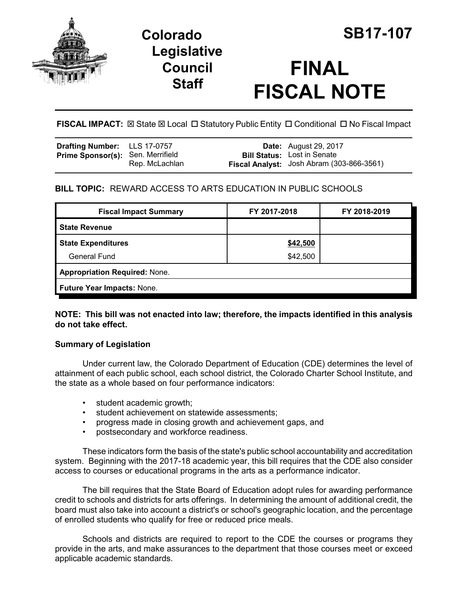

# **Colorado SB17-107 Legislative Council Staff**

# **FINAL FISCAL NOTE**

**FISCAL IMPACT:**  $\boxtimes$  **State**  $\boxtimes$  **Local □ Statutory Public Entity □ Conditional □ No Fiscal Impact** 

| Drafting Number: LLS 17-0757             |                | <b>Date:</b> August 29, 2017                                                    |
|------------------------------------------|----------------|---------------------------------------------------------------------------------|
| <b>Prime Sponsor(s): Sen. Merrifield</b> | Rep. McLachlan | <b>Bill Status:</b> Lost in Senate<br>Fiscal Analyst: Josh Abram (303-866-3561) |

## **BILL TOPIC:** REWARD ACCESS TO ARTS EDUCATION IN PUBLIC SCHOOLS

| <b>Fiscal Impact Summary</b>         | FY 2017-2018 | FY 2018-2019 |  |  |
|--------------------------------------|--------------|--------------|--|--|
| <b>State Revenue</b>                 |              |              |  |  |
| <b>State Expenditures</b>            | \$42,500     |              |  |  |
| <b>General Fund</b>                  | \$42,500     |              |  |  |
| <b>Appropriation Required: None.</b> |              |              |  |  |
| Future Year Impacts: None.           |              |              |  |  |

**NOTE: This bill was not enacted into law; therefore, the impacts identified in this analysis do not take effect.**

### **Summary of Legislation**

Under current law, the Colorado Department of Education (CDE) determines the level of attainment of each public school, each school district, the Colorado Charter School Institute, and the state as a whole based on four performance indicators:

- student academic growth;
- student achievement on statewide assessments;
- progress made in closing growth and achievement gaps, and
- postsecondary and workforce readiness.

These indicators form the basis of the state's public school accountability and accreditation system. Beginning with the 2017-18 academic year, this bill requires that the CDE also consider access to courses or educational programs in the arts as a performance indicator.

The bill requires that the State Board of Education adopt rules for awarding performance credit to schools and districts for arts offerings. In determining the amount of additional credit, the board must also take into account a district's or school's geographic location, and the percentage of enrolled students who qualify for free or reduced price meals.

Schools and districts are required to report to the CDE the courses or programs they provide in the arts, and make assurances to the department that those courses meet or exceed applicable academic standards.